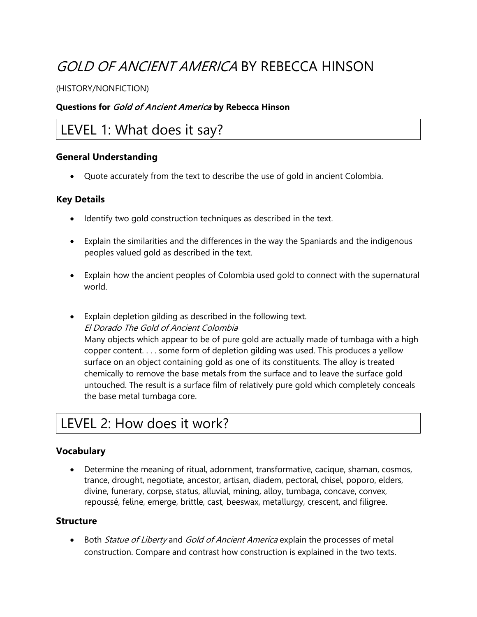# GOLD OF ANCIENT AMERICA BY REBECCA HINSON

#### (HISTORY/NONFICTION)

#### **Questions for** Gold of Ancient America **by Rebecca Hinson**

# LEVEL 1: What does it say?

#### **General Understanding**

• Quote accurately from the text to describe the use of gold in ancient Colombia.

#### **Key Details**

- Identify two gold construction techniques as described in the text.
- Explain the similarities and the differences in the way the Spaniards and the indigenous peoples valued gold as described in the text.
- Explain how the ancient peoples of Colombia used gold to connect with the supernatural world.
- Explain depletion gilding as described in the following text. El Dorado The Gold of Ancient Colombia Many objects which appear to be of pure gold are actually made of tumbaga with a high copper content. . . . some form of depletion gilding was used. This produces a yellow surface on an object containing gold as one of its constituents. The alloy is treated chemically to remove the base metals from the surface and to leave the surface gold untouched. The result is a surface film of relatively pure gold which completely conceals the base metal tumbaga core.

# LEVEL 2: How does it work?

# **Vocabulary**

• Determine the meaning of ritual, adornment, transformative, cacique, shaman, cosmos, trance, drought, negotiate, ancestor, artisan, diadem, pectoral, chisel, poporo, elders, divine, funerary, corpse, status, alluvial, mining, alloy, tumbaga, concave, convex, repoussé, feline, emerge, brittle, cast, beeswax, metallurgy, crescent, and filigree.

#### **Structure**

• Both Statue of Liberty and Gold of Ancient America explain the processes of metal construction. Compare and contrast how construction is explained in the two texts.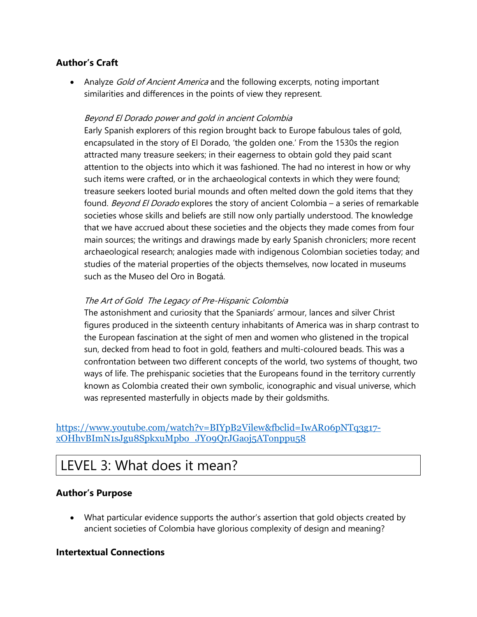# **Author's Craft**

• Analyze *Gold of Ancient America* and the following excerpts, noting important similarities and differences in the points of view they represent.

### Beyond El Dorado power and gold in ancient Colombia

Early Spanish explorers of this region brought back to Europe fabulous tales of gold, encapsulated in the story of El Dorado, 'the golden one.' From the 1530s the region attracted many treasure seekers; in their eagerness to obtain gold they paid scant attention to the objects into which it was fashioned. The had no interest in how or why such items were crafted, or in the archaeological contexts in which they were found; treasure seekers looted burial mounds and often melted down the gold items that they found. Beyond El Dorado explores the story of ancient Colombia – a series of remarkable societies whose skills and beliefs are still now only partially understood. The knowledge that we have accrued about these societies and the objects they made comes from four main sources; the writings and drawings made by early Spanish chroniclers; more recent archaeological research; analogies made with indigenous Colombian societies today; and studies of the material properties of the objects themselves, now located in museums such as the Museo del Oro in Bogatá.

### The Art of Gold The Legacy of Pre-Hispanic Colombia

The astonishment and curiosity that the Spaniards' armour, lances and silver Christ figures produced in the sixteenth century inhabitants of America was in sharp contrast to the European fascination at the sight of men and women who glistened in the tropical sun, decked from head to foot in gold, feathers and multi-coloured beads. This was a confrontation between two different concepts of the world, two systems of thought, two ways of life. The prehispanic societies that the Europeans found in the territory currently known as Colombia created their own symbolic, iconographic and visual universe, which was represented masterfully in objects made by their goldsmiths.

### [https://www.youtube.com/watch?v=BIYpB2Vilew&fbclid=IwAR06pNTq3g17](https://www.youtube.com/watch?v=BIYpB2Vilew&fbclid=IwAR06pNTq3g17-xOHhvBImN1sJgu8SpkxuMpbo_JY09QrJGaoj5ATonppu58) [xOHhvBImN1sJgu8SpkxuMpbo\\_JY09QrJGaoj5ATonppu58](https://www.youtube.com/watch?v=BIYpB2Vilew&fbclid=IwAR06pNTq3g17-xOHhvBImN1sJgu8SpkxuMpbo_JY09QrJGaoj5ATonppu58)

# LEVEL 3: What does it mean?

### **Author's Purpose**

• What particular evidence supports the author's assertion that gold objects created by ancient societies of Colombia have glorious complexity of design and meaning?

### **Intertextual Connections**